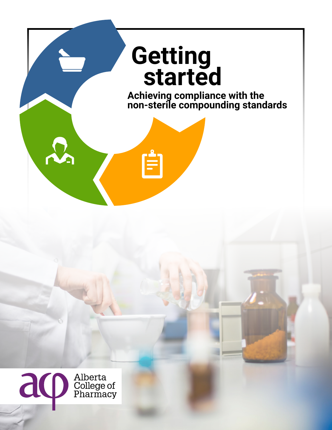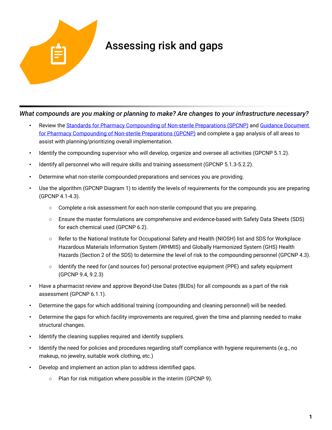

## Assessing risk and gaps

## *What compounds are you making or planning to make? Are changes to your infrastructure necessary?*

- Review the [Standards for Pharmacy Compounding of Non-sterile Preparations](https://abpharmacy.ca/standards-practice) (SPCNP) and Guidance Document [for Pharmacy Compounding of Non-sterile Preparations](https://abpharmacy.ca/standards-practice) (GPCNP) and complete a gap analysis of all areas to assist with planning/prioritizing overall implementation.
- Identify the compounding supervisor who will develop, organize and oversee all activities (GPCNP 5.1.2).
- Identify all personnel who will require skills and training assessment (GPCNP 5.1.3-5.2.2).
- Determine what non-sterile compounded preparations and services you are providing.
- Use the algorithm (GPCNP Diagram 1) to identify the levels of requirements for the compounds you are preparing (GPCNP 4.1-4.3).
	- Complete a risk assessment for each non-sterile compound that you are preparing.
	- Ensure the master formulations are comprehensive and evidence-based with Safety Data Sheets (SDS) for each chemical used (GPCNP 6.2).
	- Refer to the National Institute for Occupational Safety and Health (NIOSH) list and SDS for Workplace Hazardous Materials Information System (WHMIS) and Globally Harmonized System (GHS) Health Hazards (Section 2 of the SDS) to determine the level of risk to the compounding personnel (GPCNP 4.3).
	- Identify the need for (and sources for) personal protective equipment (PPE) and safety equipment (GPCNP 9.4, 9.2.3)
- Have a pharmacist review and approve Beyond-Use Dates (BUDs) for all compounds as a part of the risk assessment (GPCNP 6.1.1).
- Determine the gaps for which additional training (compounding and cleaning personnel) will be needed.
- Determine the gaps for which facility improvements are required, given the time and planning needed to make structural changes.
- Identify the cleaning supplies required and identify suppliers.
- Identify the need for policies and procedures regarding staff compliance with hygiene requirements (e.g., no makeup, no jewelry, suitable work clothing, etc.)
- Develop and implement an action plan to address identified gaps.
	- Plan for risk mitigation where possible in the interim (GPCNP 9).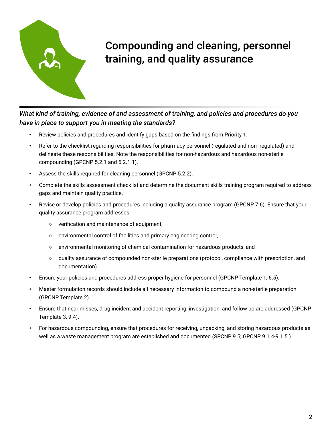

## Compounding and cleaning, personnel training, and quality assurance

*What kind of training, evidence of and assessment of training, and policies and procedures do you have in place to support you in meeting the standards?*

- Review policies and procedures and identify gaps based on the findings from Priority 1.
- Refer to the checklist regarding responsibilities for pharmacy personnel (regulated and non- regulated) and delineate these responsibilities. Note the responsibilities for non-hazardous and hazardous non-sterile compounding (GPCNP 5.2.1 and 5.2.1.1).
- Assess the skills required for cleaning personnel (GPCNP 5.2.2).
- Complete the skills assessment checklist and determine the document skills training program required to address gaps and maintain quality practice.
- Revise or develop policies and procedures including a quality assurance program (GPCNP 7.6). Ensure that your quality assurance program addresses
	- verification and maintenance of equipment,
	- environmental control of facilities and primary engineering control,
	- environmental monitoring of chemical contamination for hazardous products, and
	- quality assurance of compounded non-sterile preparations (protocol, compliance with prescription, and documentation).
- Ensure your policies and procedures address proper hygiene for personnel (GPCNP Template 1, 6.5).
- Master formulation records should include all necessary information to compound a non-sterile preparation (GPCNP Template 2).
- Ensure that near misses, drug incident and accident reporting, investigation, and follow up are addressed (GPCNP Template 3, 9.4).
- For hazardous compounding, ensure that procedures for receiving, unpacking, and storing hazardous products as well as a waste management program are established and documented (SPCNP 9.5; GPCNP 9.1.4-9.1.5.).